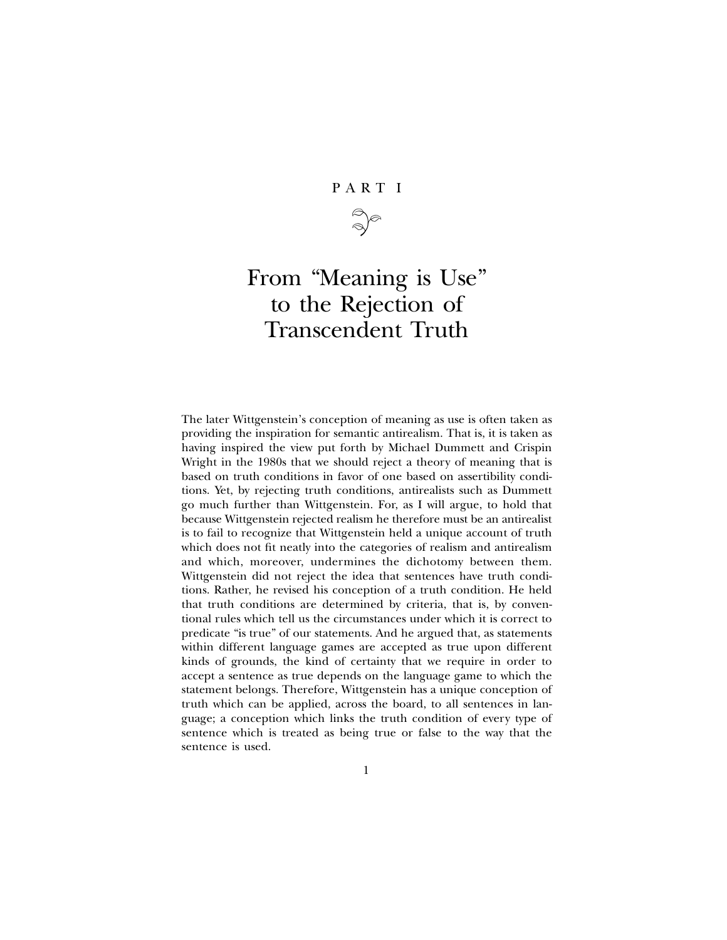#### P A R T I



# From "Meaning is Use" to the Rejection of Transcendent Truth

The later Wittgenstein's conception of meaning as use is often taken as providing the inspiration for semantic antirealism. That is, it is taken as having inspired the view put forth by Michael Dummett and Crispin Wright in the 1980s that we should reject a theory of meaning that is based on truth conditions in favor of one based on assertibility conditions. Yet, by rejecting truth conditions, antirealists such as Dummett go much further than Wittgenstein. For, as I will argue, to hold that because Wittgenstein rejected realism he therefore must be an antirealist is to fail to recognize that Wittgenstein held a unique account of truth which does not fit neatly into the categories of realism and antirealism and which, moreover, undermines the dichotomy between them. Wittgenstein did not reject the idea that sentences have truth conditions. Rather, he revised his conception of a truth condition. He held that truth conditions are determined by criteria, that is, by conventional rules which tell us the circumstances under which it is correct to predicate "is true" of our statements. And he argued that, as statements within different language games are accepted as true upon different kinds of grounds, the kind of certainty that we require in order to accept a sentence as true depends on the language game to which the statement belongs. Therefore, Wittgenstein has a unique conception of truth which can be applied, across the board, to all sentences in language; a conception which links the truth condition of every type of sentence which is treated as being true or false to the way that the sentence is used.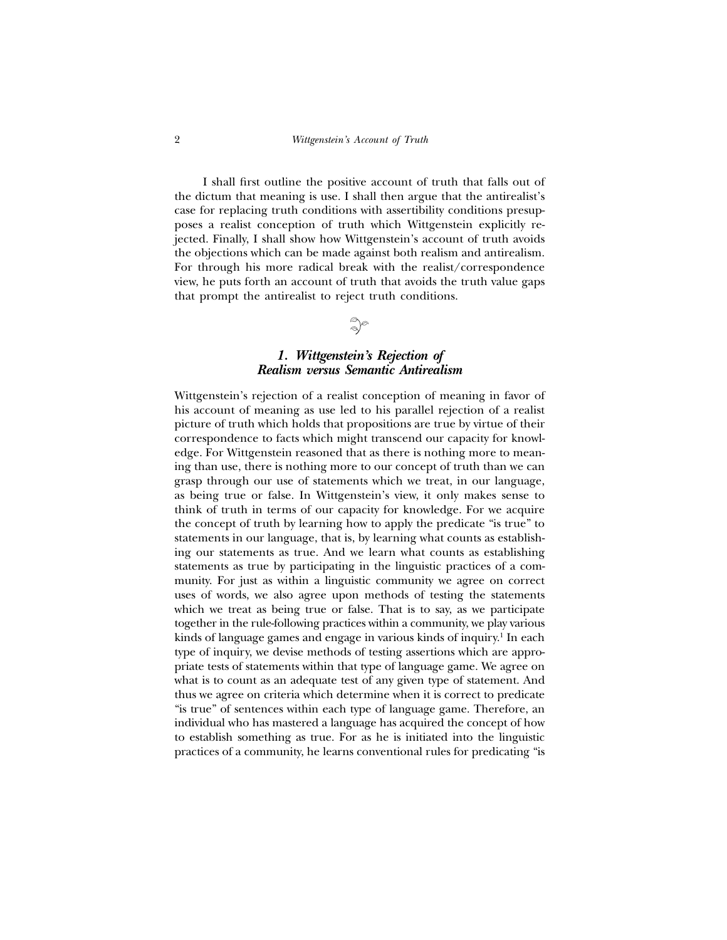I shall first outline the positive account of truth that falls out of the dictum that meaning is use. I shall then argue that the antirealist's case for replacing truth conditions with assertibility conditions presupposes a realist conception of truth which Wittgenstein explicitly rejected. Finally, I shall show how Wittgenstein's account of truth avoids the objections which can be made against both realism and antirealism. For through his more radical break with the realist/correspondence view, he puts forth an account of truth that avoids the truth value gaps that prompt the antirealist to reject truth conditions.

### $\mathbb{R}^{\mathcal{P}}$

#### *1. Wittgenstein's Rejection of Realism versus Semantic Antirealism*

Wittgenstein's rejection of a realist conception of meaning in favor of his account of meaning as use led to his parallel rejection of a realist picture of truth which holds that propositions are true by virtue of their correspondence to facts which might transcend our capacity for knowledge. For Wittgenstein reasoned that as there is nothing more to meaning than use, there is nothing more to our concept of truth than we can grasp through our use of statements which we treat, in our language, as being true or false. In Wittgenstein's view, it only makes sense to think of truth in terms of our capacity for knowledge. For we acquire the concept of truth by learning how to apply the predicate "is true" to statements in our language, that is, by learning what counts as establishing our statements as true. And we learn what counts as establishing statements as true by participating in the linguistic practices of a community. For just as within a linguistic community we agree on correct uses of words, we also agree upon methods of testing the statements which we treat as being true or false. That is to say, as we participate together in the rule-following practices within a community, we play various kinds of language games and engage in various kinds of inquiry. $^{\rm 1}$  In each type of inquiry, we devise methods of testing assertions which are appropriate tests of statements within that type of language game. We agree on what is to count as an adequate test of any given type of statement. And thus we agree on criteria which determine when it is correct to predicate "is true" of sentences within each type of language game. Therefore, an individual who has mastered a language has acquired the concept of how to establish something as true. For as he is initiated into the linguistic practices of a community, he learns conventional rules for predicating "is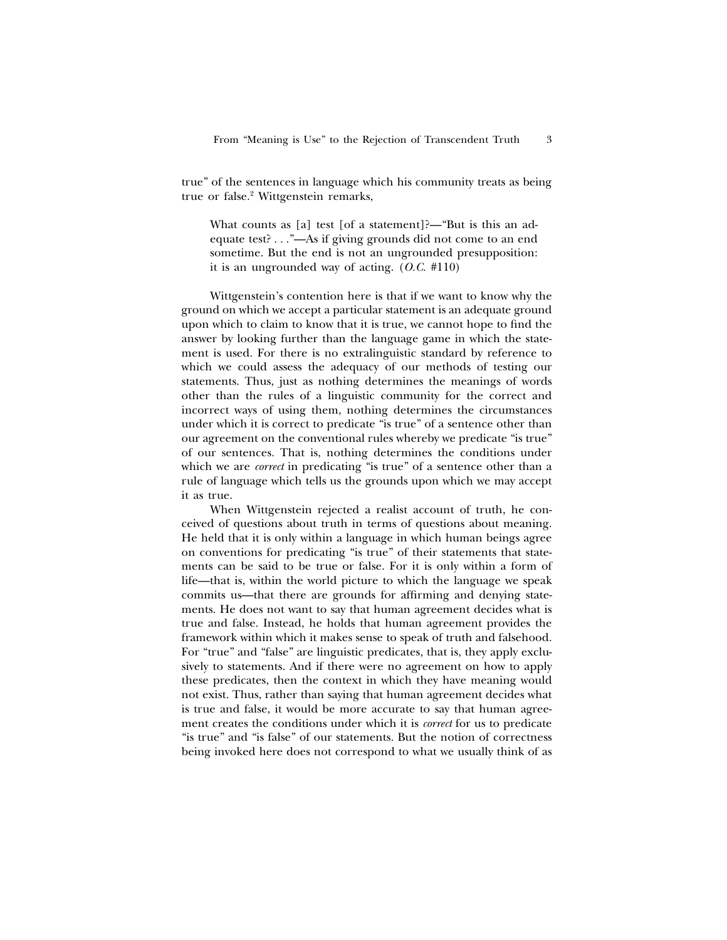true" of the sentences in language which his community treats as being true or false.<sup>2</sup> Wittgenstein remarks,

What counts as [a] test [of a statement]?—"But is this an adequate test? . . ."—As if giving grounds did not come to an end sometime. But the end is not an ungrounded presupposition: it is an ungrounded way of acting. (*O.C.* #110)

Wittgenstein's contention here is that if we want to know why the ground on which we accept a particular statement is an adequate ground upon which to claim to know that it is true, we cannot hope to find the answer by looking further than the language game in which the statement is used. For there is no extralinguistic standard by reference to which we could assess the adequacy of our methods of testing our statements. Thus, just as nothing determines the meanings of words other than the rules of a linguistic community for the correct and incorrect ways of using them, nothing determines the circumstances under which it is correct to predicate "is true" of a sentence other than our agreement on the conventional rules whereby we predicate "is true" of our sentences. That is, nothing determines the conditions under which we are *correct* in predicating "is true" of a sentence other than a rule of language which tells us the grounds upon which we may accept it as true.

When Wittgenstein rejected a realist account of truth, he conceived of questions about truth in terms of questions about meaning. He held that it is only within a language in which human beings agree on conventions for predicating "is true" of their statements that statements can be said to be true or false. For it is only within a form of life—that is, within the world picture to which the language we speak commits us—that there are grounds for affirming and denying statements. He does not want to say that human agreement decides what is true and false. Instead, he holds that human agreement provides the framework within which it makes sense to speak of truth and falsehood. For "true" and "false" are linguistic predicates, that is, they apply exclusively to statements. And if there were no agreement on how to apply these predicates, then the context in which they have meaning would not exist. Thus, rather than saying that human agreement decides what is true and false, it would be more accurate to say that human agreement creates the conditions under which it is *correct* for us to predicate "is true" and "is false" of our statements. But the notion of correctness being invoked here does not correspond to what we usually think of as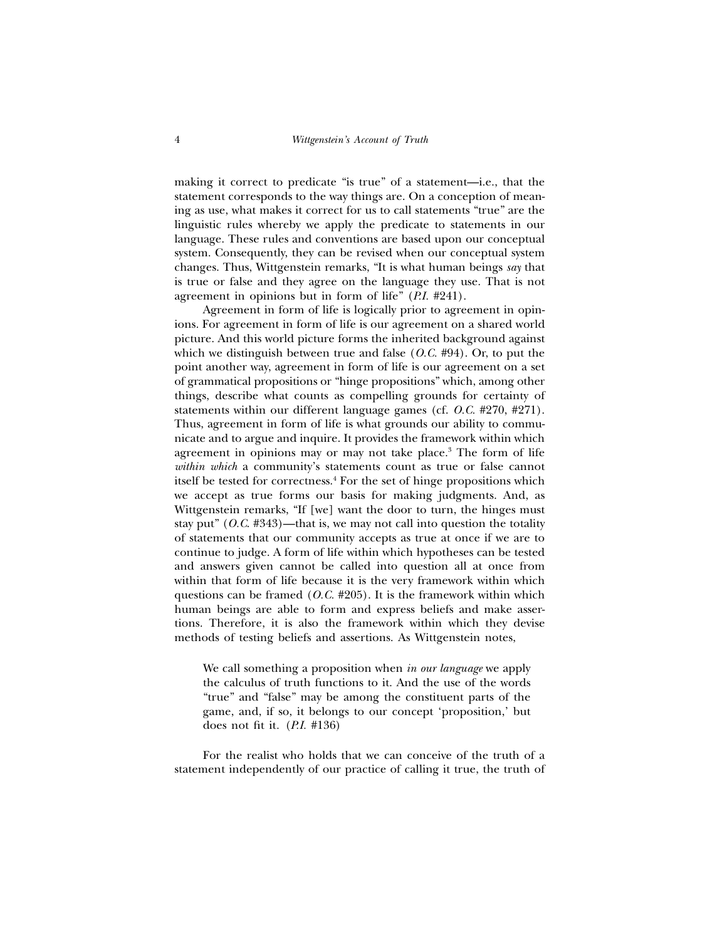making it correct to predicate "is true" of a statement—i.e., that the statement corresponds to the way things are. On a conception of meaning as use, what makes it correct for us to call statements "true" are the linguistic rules whereby we apply the predicate to statements in our language. These rules and conventions are based upon our conceptual system. Consequently, they can be revised when our conceptual system changes. Thus, Wittgenstein remarks, "It is what human beings *say* that is true or false and they agree on the language they use. That is not agreement in opinions but in form of life" (*P.I.* #241).

Agreement in form of life is logically prior to agreement in opinions. For agreement in form of life is our agreement on a shared world picture. And this world picture forms the inherited background against which we distinguish between true and false (*O.C.* #94). Or, to put the point another way, agreement in form of life is our agreement on a set of grammatical propositions or "hinge propositions" which, among other things, describe what counts as compelling grounds for certainty of statements within our different language games (cf. *O.C.* #270, #271). Thus, agreement in form of life is what grounds our ability to communicate and to argue and inquire. It provides the framework within which agreement in opinions may or may not take place.<sup>3</sup> The form of life *within which* a community's statements count as true or false cannot itself be tested for correctness.4 For the set of hinge propositions which we accept as true forms our basis for making judgments. And, as Wittgenstein remarks, "If [we] want the door to turn, the hinges must stay put" (*O.C*. #343)—that is, we may not call into question the totality of statements that our community accepts as true at once if we are to continue to judge. A form of life within which hypotheses can be tested and answers given cannot be called into question all at once from within that form of life because it is the very framework within which questions can be framed (*O.C.* #205). It is the framework within which human beings are able to form and express beliefs and make assertions. Therefore, it is also the framework within which they devise methods of testing beliefs and assertions. As Wittgenstein notes,

We call something a proposition when *in our language* we apply the calculus of truth functions to it. And the use of the words "true" and "false" may be among the constituent parts of the game, and, if so, it belongs to our concept 'proposition,' but does not fit it (*P.I.* #136) *.*

For the realist who holds that we can conceive of the truth of a statement independently of our practice of calling it true, the truth of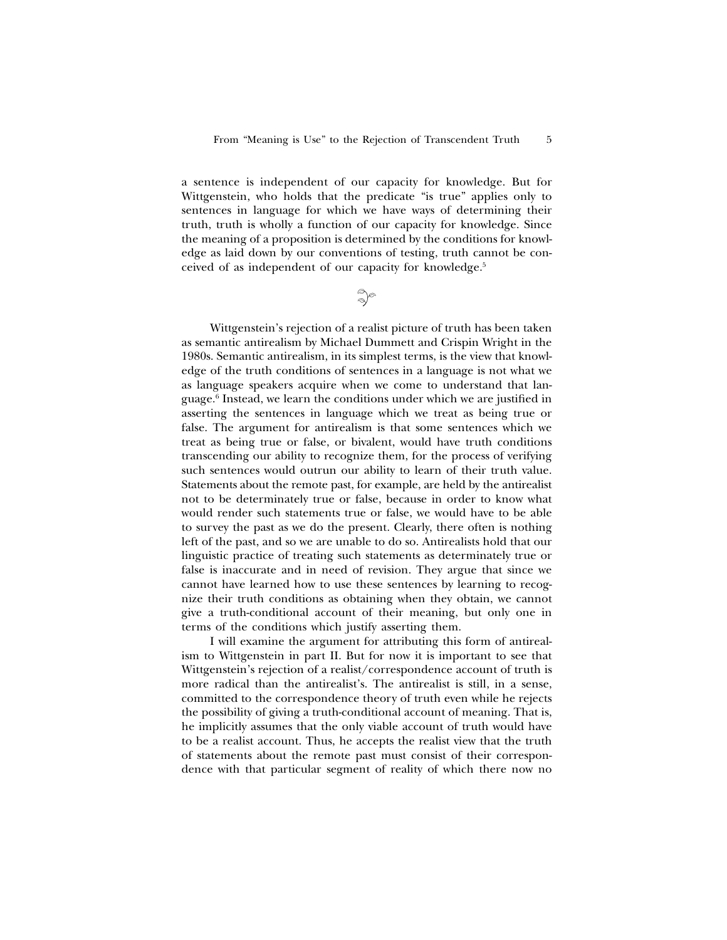a sentence is independent of our capacity for knowledge. But for Wittgenstein, who holds that the predicate "is true" applies only to sentences in language for which we have ways of determining their truth, truth is wholly a function of our capacity for knowledge. Since the meaning of a proposition is determined by the conditions for knowledge as laid down by our conventions of testing, truth cannot be conceived of as independent of our capacity for knowledge.5

 $\Rightarrow$ 

Wittgenstein's rejection of a realist picture of truth has been taken as semantic antirealism by Michael Dummett and Crispin Wright in the 1980s. Semantic antirealism, in its simplest terms, is the view that knowledge of the truth conditions of sentences in a language is not what we as language speakers acquire when we come to understand that language. $^6$  Instead, we learn the conditions under which we are justified in asserting the sentences in language which we treat as being true or false. The argument for antirealism is that some sentences which we treat as being true or false, or bivalent, would have truth conditions transcending our ability to recognize them, for the process of verifying such sentences would outrun our ability to learn of their truth value. Statements about the remote past, for example, are held by the antirealist not to be determinately true or false, because in order to know what would render such statements true or false, we would have to be able to survey the past as we do the present. Clearly, there often is nothing left of the past, and so we are unable to do so. Antirealists hold that our linguistic practice of treating such statements as determinately true or false is inaccurate and in need of revision. They argue that since we cannot have learned how to use these sentences by learning to recognize their truth conditions as obtaining when they obtain, we cannot give a truth-conditional account of their meaning, but only one in terms of the conditions which justify asserting them.

I will examine the argument for attributing this form of antirealism to Wittgenstein in part II. But for now it is important to see that Wittgenstein's rejection of a realist/correspondence account of truth is more radical than the antirealist's. The antirealist is still, in a sense, committed to the correspondence theory of truth even while he rejects the possibility of giving a truth-conditional account of meaning. That is, he implicitly assumes that the only viable account of truth would have to be a realist account. Thus, he accepts the realist view that the truth of statements about the remote past must consist of their correspondence with that particular segment of reality of which there now no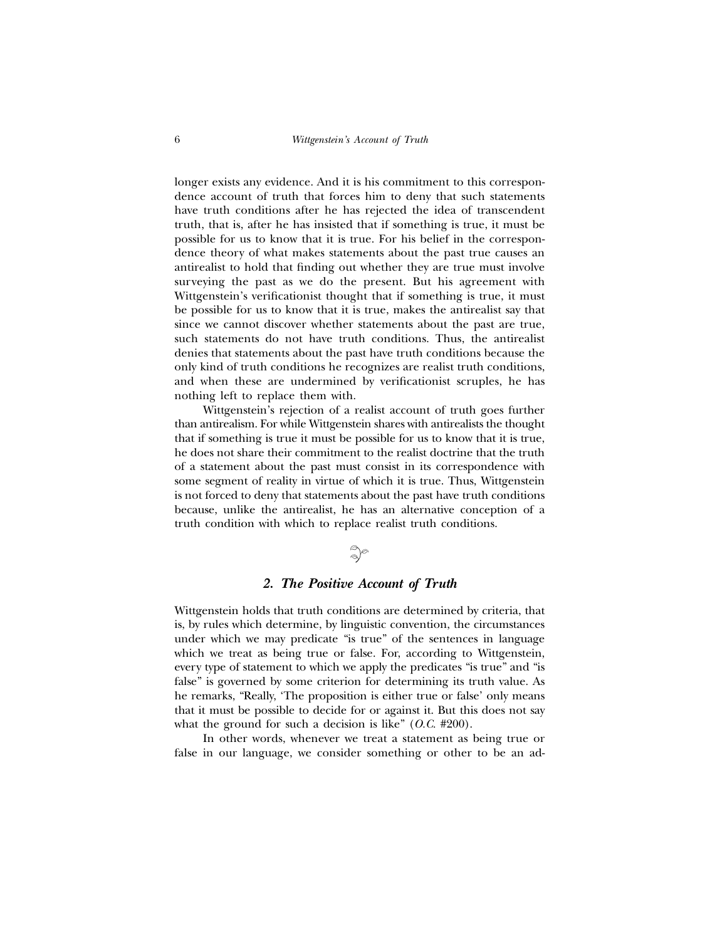longer exists any evidence. And it is his commitment to this correspondence account of truth that forces him to deny that such statements have truth conditions after he has rejected the idea of transcendent truth, that is, after he has insisted that if something is true, it must be possible for us to know that it is true. For his belief in the correspondence theory of what makes statements about the past true causes an antirealist to hold that finding out whether they are true must involve surveying the past as we do the present. But his agreement with Wittgenstein's verificationist thought that if something is true, it must be possible for us to know that it is true, makes the antirealist say that since we cannot discover whether statements about the past are true, such statements do not have truth conditions. Thus, the antirealist denies that statements about the past have truth conditions because the only kind of truth conditions he recognizes are realist truth conditions, and when these are undermined by verificationist scruples, he has nothing left to replace them with.

Wittgenstein's rejection of a realist account of truth goes further than antirealism. For while Wittgenstein shares with antirealists the thought that if something is true it must be possible for us to know that it is true, he does not share their commitment to the realist doctrine that the truth of a statement about the past must consist in its correspondence with some segment of reality in virtue of which it is true. Thus, Wittgenstein is not forced to deny that statements about the past have truth conditions because, unlike the antirealist, he has an alternative conception of a truth condition with which to replace realist truth conditions.

## $\Rightarrow$

#### *2. The Positive Account of Truth*

Wittgenstein holds that truth conditions are determined by criteria, that is, by rules which determine, by linguistic convention, the circumstances under which we may predicate "is true" of the sentences in language which we treat as being true or false. For, according to Wittgenstein, every type of statement to which we apply the predicates "is true" and "is false" is governed by some criterion for determining its truth value. As he remarks, "Really, 'The proposition is either true or false' only means that it must be possible to decide for or against it. But this does not say what the ground for such a decision is like" (*O.C.* #200).

In other words, whenever we treat a statement as being true or false in our language, we consider something or other to be an ad-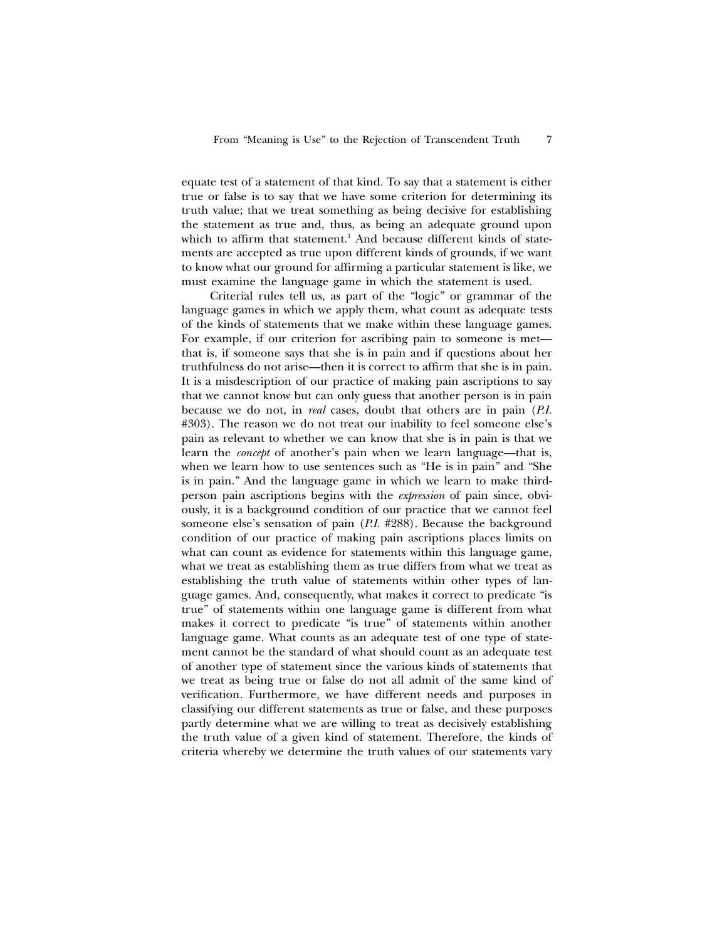equate test of a statement of that kind. To say that a statement is either true or false is to say that we have some criterion for determining its truth value; that we treat something as being decisive for establishing the statement as true and, thus, as being an adequate ground upon which to affirm that statement. $^1$  And because different kinds of statements are accepted as true upon different kinds of grounds, if we want to know what our ground for affirming a particular statement is like, we must examine the language game in which the statement is used.

Criterial rules tell us, as part of the "logic" or grammar of the language games in which we apply them, what count as adequate tests of the kinds of statements that we make within these language games. For example, if our criterion for ascribing pain to someone is met that is, if someone says that she is in pain and if questions about her truthfulness do not arise—then it is correct to affirm that she is in pain. It is a misdescription of our practice of making pain ascriptions to say that we cannot know but can only guess that another person is in pain because we do not, in *real* cases, doubt that others are in pain (*P.I.* #303). The reason we do not treat our inability to feel someone else's pain as relevant to whether we can know that she is in pain is that we learn the *concept* of another's pain when we learn language—that is, when we learn how to use sentences such as "He is in pain" and "She is in pain." And the language game in which we learn to make thirdperson pain ascriptions begins with the *expression* of pain since, obviously, it is a background condition of our practice that we cannot feel someone else's sensation of pain (*P.I.* #288). Because the background condition of our practice of making pain ascriptions places limits on what can count as evidence for statements within this language game, what we treat as establishing them as true differs from what we treat as establishing the truth value of statements within other types of language games. And, consequently, what makes it correct to predicate "is true" of statements within one language game is different from what makes it correct to predicate "is true" of statements within another language game. What counts as an adequate test of one type of statement cannot be the standard of what should count as an adequate test of another type of statement since the various kinds of statements that we treat as being true or false do not all admit of the same kind of verification. Furthermore, we have different needs and purposes in classifying our different statements as true or false, and these purposes partly determine what we are willing to treat as decisively establishing the truth value of a given kind of statement. Therefore, the kinds of criteria whereby we determine the truth values of our statements vary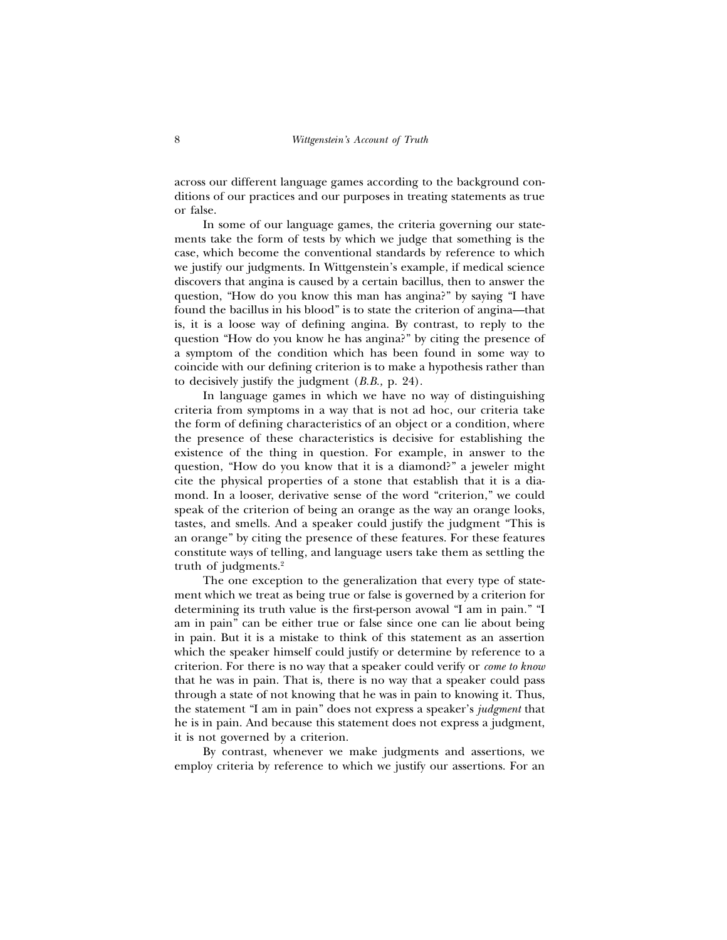across our different language games according to the background conditions of our practices and our purposes in treating statements as true or false.

In some of our language games, the criteria governing our statements take the form of tests by which we judge that something is the case, which become the conventional standards by reference to which we justify our judgments. In Wittgenstein's example, if medical science discovers that angina is caused by a certain bacillus, then to answer the question, "How do you know this man has angina?" by saying "I have found the bacillus in his blood" is to state the criterion of angina—that is, it is a loose way of defining angina. By contrast, to reply to the question "How do you know he has angina?" by citing the presence of a symptom of the condition which has been found in some way to coincide with our defining criterion is to make a hypothesis rather than to decisively justify the judgment (*B.B.,* p. 24).

In language games in which we have no way of distinguishing criteria from symptoms in a way that is not ad hoc, our criteria take the form of defining characteristics of an object or a condition, where the presence of these characteristics is decisive for establishing the existence of the thing in question. For example, in answer to the question, "How do you know that it is a diamond?" a jeweler might cite the physical properties of a stone that establish that it is a diamond. In a looser, derivative sense of the word "criterion," we could speak of the criterion of being an orange as the way an orange looks, tastes, and smells. And a speaker could justify the judgment "This is an orange" by citing the presence of these features. For these features constitute ways of telling, and language users take them as settling the truth of judgments.<sup>2</sup>

The one exception to the generalization that every type of statement which we treat as being true or false is governed by a criterion for determining its truth value is the first-person avowal "I am in pain." "I am in pain" can be either true or false since one can lie about being in pain. But it is a mistake to think of this statement as an assertion which the speaker himself could justify or determine by reference to a criterion. For there is no way that a speaker could verify or *come to know* that he was in pain. That is, there is no way that a speaker could pass through a state of not knowing that he was in pain to knowing it. Thus, the statement "I am in pain" does not express a speaker's *judgment* that he is in pain. And because this statement does not express a judgment, it is not governed by a criterion.

By contrast, whenever we make judgments and assertions, we employ criteria by reference to which we justify our assertions. For an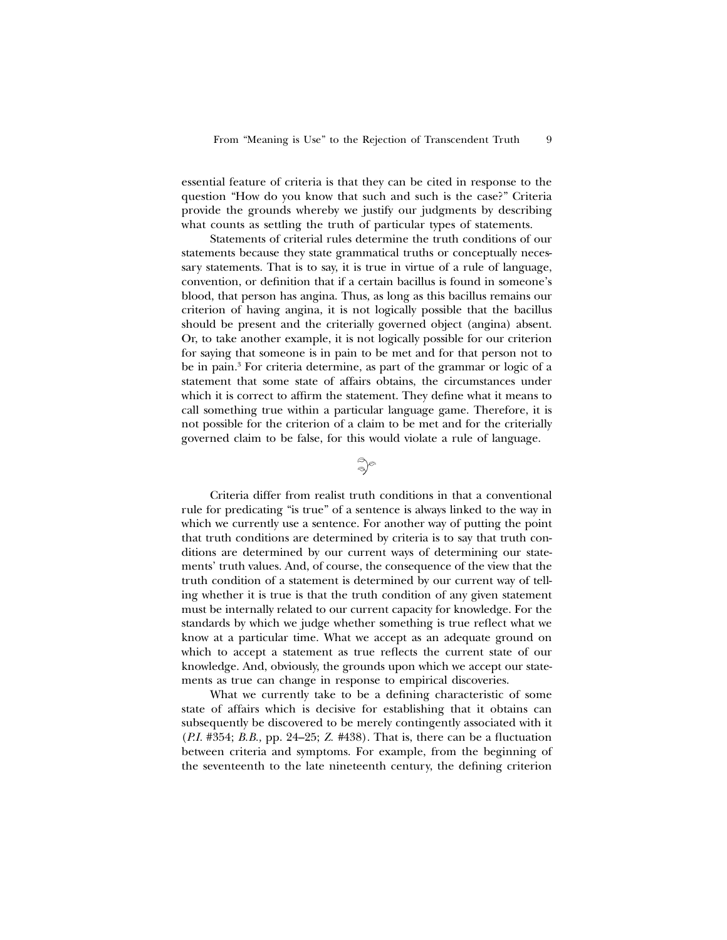essential feature of criteria is that they can be cited in response to the question "How do you know that such and such is the case?" Criteria provide the grounds whereby we justify our judgments by describing what counts as settling the truth of particular types of statements.

Statements of criterial rules determine the truth conditions of our statements because they state grammatical truths or conceptually necessary statements. That is to say, it is true in virtue of a rule of language, convention, or definition that if a certain bacillus is found in someone's blood, that person has angina. Thus, as long as this bacillus remains our criterion of having angina, it is not logically possible that the bacillus should be present and the criterially governed object (angina) absent. Or, to take another example, it is not logically possible for our criterion for saying that someone is in pain to be met and for that person not to be in pain.<sup>3</sup> For criteria determine, as part of the grammar or logic of a statement that some state of affairs obtains, the circumstances under which it is correct to affirm the statement. They define what it means to call something true within a particular language game. Therefore, it is not possible for the criterion of a claim to be met and for the criterially governed claim to be false, for this would violate a rule of language.

Criteria differ from realist truth conditions in that a conventional rule for predicating "is true" of a sentence is always linked to the way in which we currently use a sentence. For another way of putting the point that truth conditions are determined by criteria is to say that truth conditions are determined by our current ways of determining our statements' truth values. And, of course, the consequence of the view that the truth condition of a statement is determined by our current way of telling whether it is true is that the truth condition of any given statement must be internally related to our current capacity for knowledge. For the standards by which we judge whether something is true reflect what we know at a particular time. What we accept as an adequate ground on which to accept a statement as true reflects the current state of our knowledge. And, obviously, the grounds upon which we accept our statements as true can change in response to empirical discoveries.

 $\mathbb{R}^{\infty}$ 

What we currently take to be a defining characteristic of some state of affairs which is decisive for establishing that it obtains can subsequently be discovered to be merely contingently associated with it (*P.I.* #354; *B.B.,* pp. 24–25; *Z. #*438). That is, there can be a fluctuation between criteria and symptoms. For example, from the beginning of the seventeenth to the late nineteenth century, the defining criterion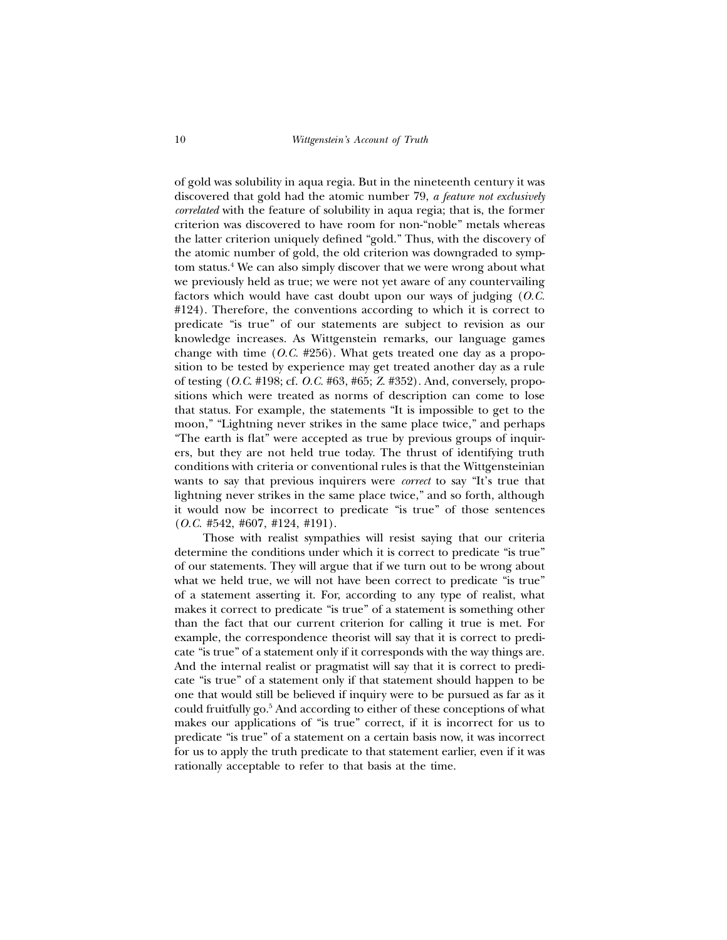of gold was solubility in aqua regia. But in the nineteenth century it was discovered that gold had the atomic number 79, *a feature not exclusively correlated* with the feature of solubility in aqua regia; that is, the former criterion was discovered to have room for non-"noble" metals whereas the latter criterion uniquely defined "gold." Thus, with the discovery of the atomic number of gold, the old criterion was downgraded to symptom status.<sup>4</sup> We can also simply discover that we were wrong about what we previously held as true; we were not yet aware of any countervailing factors which would have cast doubt upon our ways of judging (*O.C.* #124). Therefore, the conventions according to which it is correct to predicate "is true" of our statements are subject to revision as our knowledge increases. As Wittgenstein remarks, our language games change with time (*O.C.* #256). What gets treated one day as a proposition to be tested by experience may get treated another day as a rule of testing (*O.C*. #198; cf. *O.C.* #63, #65; *Z.* #352). And, conversely, propositions which were treated as norms of description can come to lose that status. For example, the statements "It is impossible to get to the moon," "Lightning never strikes in the same place twice," and perhaps "The earth is flat" were accepted as true by previous groups of inquirers, but they are not held true today. The thrust of identifying truth conditions with criteria or conventional rules is that the Wittgensteinian wants to say that previous inquirers were *correct* to say "It's true that lightning never strikes in the same place twice," and so forth, although it would now be incorrect to predicate "is true" of those sentences (*O.C.* #542, #607, #124, #191).

Those with realist sympathies will resist saying that our criteria determine the conditions under which it is correct to predicate "is true" of our statements. They will argue that if we turn out to be wrong about what we held true, we will not have been correct to predicate "is true" of a statement asserting it. For, according to any type of realist, what makes it correct to predicate "is true" of a statement is something other than the fact that our current criterion for calling it true is met. For example, the correspondence theorist will say that it is correct to predicate "is true" of a statement only if it corresponds with the way things are. And the internal realist or pragmatist will say that it is correct to predicate "is true" of a statement only if that statement should happen to be one that would still be believed if inquiry were to be pursued as far as it could fruitfully go.<sup>5</sup> And according to either of these conceptions of what makes our applications of "is true" correct, if it is incorrect for us to predicate "is true" of a statement on a certain basis now, it was incorrect for us to apply the truth predicate to that statement earlier, even if it was rationally acceptable to refer to that basis at the time.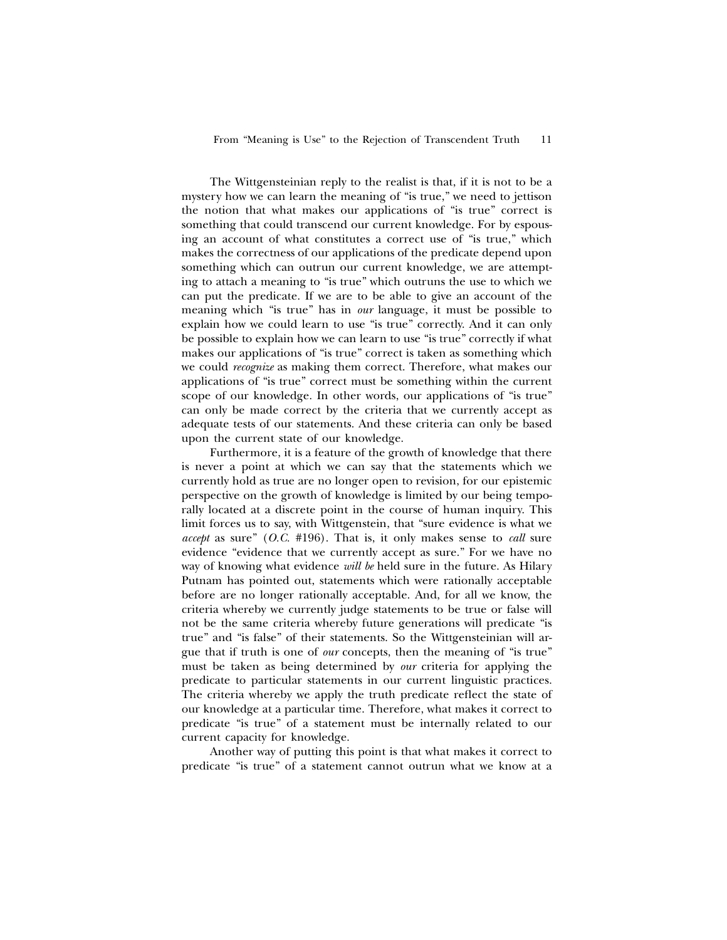The Wittgensteinian reply to the realist is that, if it is not to be a mystery how we can learn the meaning of "is true," we need to jettison the notion that what makes our applications of "is true" correct is something that could transcend our current knowledge. For by espousing an account of what constitutes a correct use of "is true," which makes the correctness of our applications of the predicate depend upon something which can outrun our current knowledge, we are attempting to attach a meaning to "is true" which outruns the use to which we can put the predicate. If we are to be able to give an account of the meaning which "is true" has in *our* language, it must be possible to explain how we could learn to use "is true" correctly. And it can only be possible to explain how we can learn to use "is true" correctly if what makes our applications of "is true" correct is taken as something which we could *recognize* as making them correct. Therefore, what makes our applications of "is true" correct must be something within the current scope of our knowledge. In other words, our applications of "is true" can only be made correct by the criteria that we currently accept as adequate tests of our statements. And these criteria can only be based upon the current state of our knowledge.

Furthermore, it is a feature of the growth of knowledge that there is never a point at which we can say that the statements which we currently hold as true are no longer open to revision, for our epistemic perspective on the growth of knowledge is limited by our being temporally located at a discrete point in the course of human inquiry. This limit forces us to say, with Wittgenstein, that "sure evidence is what we *accept* as sure" (*O.C.* #196). That is, it only makes sense to *call* sure evidence "evidence that we currently accept as sure." For we have no way of knowing what evidence *will be* held sure in the future. As Hilary Putnam has pointed out, statements which were rationally acceptable before are no longer rationally acceptable. And, for all we know, the criteria whereby we currently judge statements to be true or false will not be the same criteria whereby future generations will predicate "is true" and "is false" of their statements. So the Wittgensteinian will argue that if truth is one of *our* concepts, then the meaning of "is true" must be taken as being determined by *our* criteria for applying the predicate to particular statements in our current linguistic practices. The criteria whereby we apply the truth predicate reflect the state of our knowledge at a particular time. Therefore, what makes it correct to predicate "is true" of a statement must be internally related to our current capacity for knowledge.

Another way of putting this point is that what makes it correct to predicate "is true" of a statement cannot outrun what we know at a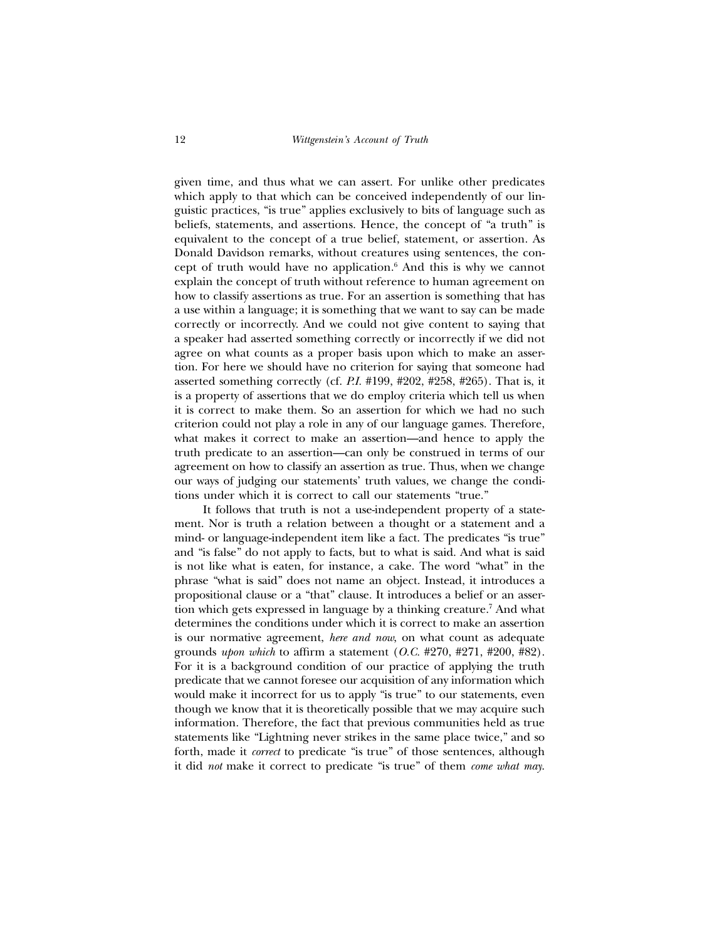given time, and thus what we can assert. For unlike other predicates which apply to that which can be conceived independently of our linguistic practices, "is true" applies exclusively to bits of language such as beliefs, statements, and assertions. Hence, the concept of "a truth" is equivalent to the concept of a true belief, statement, or assertion. As Donald Davidson remarks, without creatures using sentences, the concept of truth would have no application. $^6$  And this is why we cannot explain the concept of truth without reference to human agreement on how to classify assertions as true. For an assertion is something that has a use within a language; it is something that we want to say can be made correctly or incorrectly. And we could not give content to saying that a speaker had asserted something correctly or incorrectly if we did not agree on what counts as a proper basis upon which to make an assertion. For here we should have no criterion for saying that someone had asserted something correctly (cf. *P.I.* #199, #202, #258, #265). That is, it is a property of assertions that we do employ criteria which tell us when it is correct to make them. So an assertion for which we had no such criterion could not play a role in any of our language games. Therefore, what makes it correct to make an assertion—and hence to apply the truth predicate to an assertion—can only be construed in terms of our agreement on how to classify an assertion as true. Thus, when we change our ways of judging our statements' truth values, we change the conditions under which it is correct to call our statements "true."

It follows that truth is not a use-independent property of a statement. Nor is truth a relation between a thought or a statement and a mind- or language-independent item like a fact. The predicates "is true" and "is false" do not apply to facts, but to what is said. And what is said is not like what is eaten, for instance, a cake. The word "what" in the phrase "what is said" does not name an object. Instead, it introduces a propositional clause or a "that" clause. It introduces a belief or an assertion which gets expressed in language by a thinking creature.7 And what determines the conditions under which it is correct to make an assertion is our normative agreement, *here and now*, on what count as adequate grounds *upon which* to affirm a statement (*O.C.* #270, #271, #200, #82). For it is a background condition of our practice of applying the truth predicate that we cannot foresee our acquisition of any information which would make it incorrect for us to apply "is true" to our statements, even though we know that it is theoretically possible that we may acquire such information. Therefore, the fact that previous communities held as true statements like "Lightning never strikes in the same place twice," and so forth, made it *correct* to predicate "is true" of those sentences, although it did *not* make it correct to predicate "is true" of them *come what may*.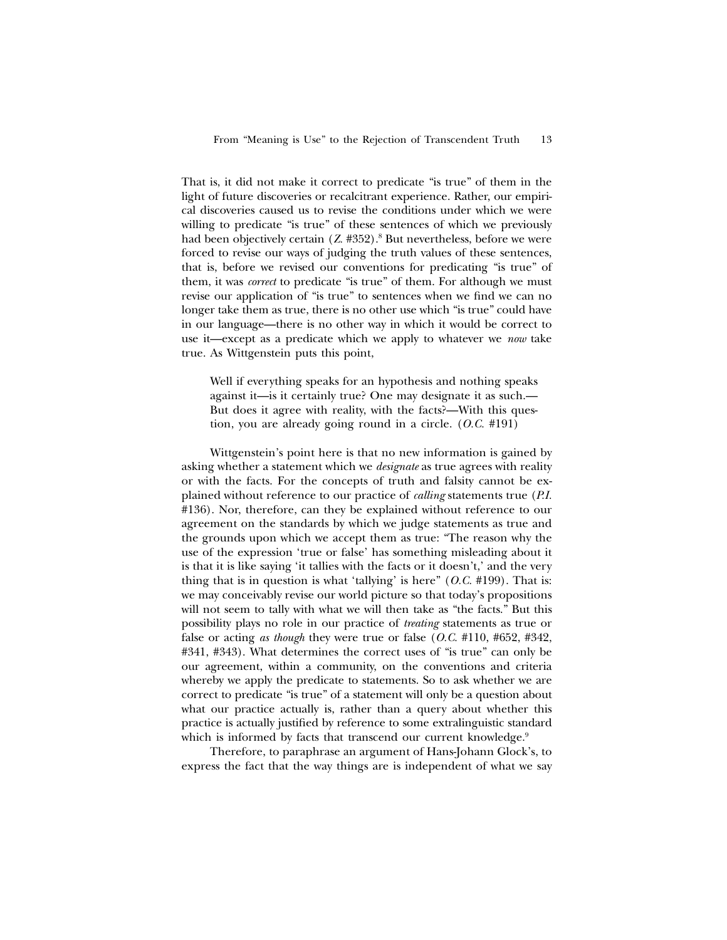That is, it did not make it correct to predicate "is true" of them in the light of future discoveries or recalcitrant experience. Rather, our empirical discoveries caused us to revise the conditions under which we were willing to predicate "is true" of these sentences of which we previously had been objectively certain (*Z.* #352).<sup>8</sup> But nevertheless, before we were forced to revise our ways of judging the truth values of these sentences, that is, before we revised our conventions for predicating "is true" of them, it was *correct* to predicate "is true" of them. For although we must revise our application of "is true" to sentences when we find we can no longer take them as true, there is no other use which "is true" could have in our language—there is no other way in which it would be correct to use it—except as a predicate which we apply to whatever we *now* take true. As Wittgenstein puts this point,

Well if everything speaks for an hypothesis and nothing speaks against it—is it certainly true? One may designate it as such.— But does it agree with reality, with the facts?—With this question, you are already going round in a circle. (*O.C.* #191)

Wittgenstein's point here is that no new information is gained by asking whether a statement which we *designate* as true agrees with reality or with the facts. For the concepts of truth and falsity cannot be explained without reference to our practice of *calling* statements true (*P.I.* #136). Nor, therefore, can they be explained without reference to our agreement on the standards by which we judge statements as true and the grounds upon which we accept them as true: "The reason why the use of the expression 'true or false' has something misleading about it is that it is like saying 'it tallies with the facts or it doesn't,' and the very thing that is in question is what 'tallying' is here" (*O.C.* #199). That is: we may conceivably revise our world picture so that today's propositions will not seem to tally with what we will then take as "the facts." But this possibility plays no role in our practice of *treating* statements as true or false or acting *as though* they were true or false (*O.C.* #110, #652, #342, #341, #343). What determines the correct uses of "is true" can only be our agreement, within a community, on the conventions and criteria whereby we apply the predicate to statements. So to ask whether we are correct to predicate "is true" of a statement will only be a question about what our practice actually is, rather than a query about whether this practice is actually justified by reference to some extralinguistic standard which is informed by facts that transcend our current knowledge.<sup>9</sup>

Therefore, to paraphrase an argument of Hans-Johann Glock's, to express the fact that the way things are is independent of what we say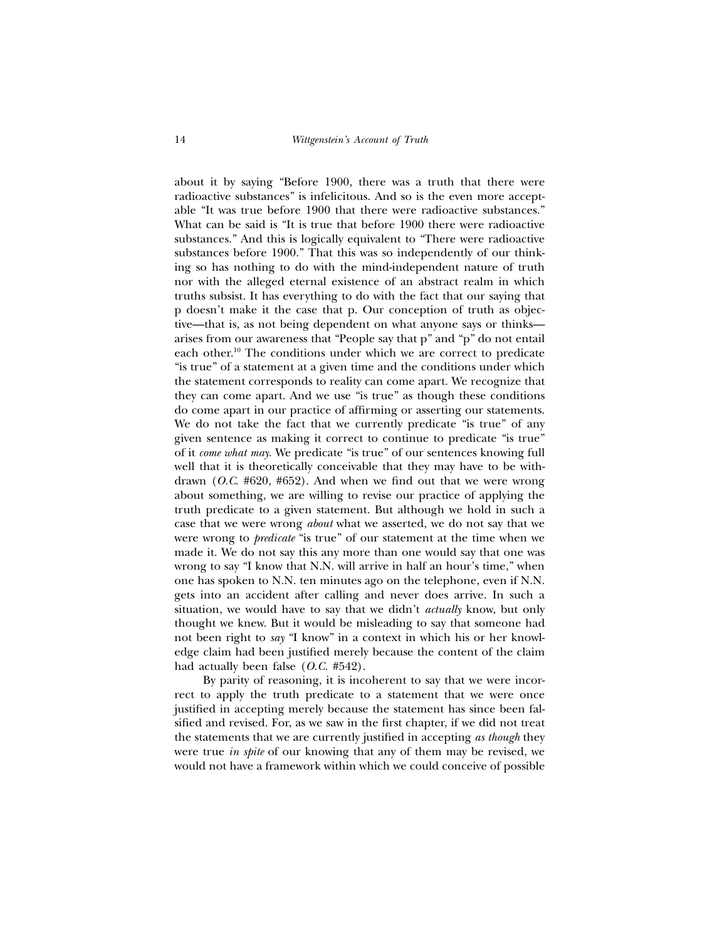about it by saying "Before 1900, there was a truth that there were radioactive substances" is infelicitous. And so is the even more acceptable "It was true before 1900 that there were radioactive substances." What can be said is "It is true that before 1900 there were radioactive substances." And this is logically equivalent to "There were radioactive substances before 1900." That this was so independently of our thinking so has nothing to do with the mind-independent nature of truth nor with the alleged eternal existence of an abstract realm in which truths subsist. It has everything to do with the fact that our saying that p doesn't make it the case that p. Our conception of truth as objective—that is, as not being dependent on what anyone says or thinks arises from our awareness that "People say that p" and "p" do not entail each other.10 The conditions under which we are correct to predicate "is true" of a statement at a given time and the conditions under which the statement corresponds to reality can come apart. We recognize that they can come apart. And we use "is true" as though these conditions do come apart in our practice of affirming or asserting our statements. We do not take the fact that we currently predicate "is true" of any given sentence as making it correct to continue to predicate "is true" of it *come what may*. We predicate "is true" of our sentences knowing full well that it is theoretically conceivable that they may have to be withdrawn (*O.C*. #620, #652). And when we find out that we were wrong about something, we are willing to revise our practice of applying the truth predicate to a given statement. But although we hold in such a case that we were wrong *about* what we asserted, we do not say that we were wrong to *predicate* "is true" of our statement at the time when we made it. We do not say this any more than one would say that one was wrong to say "I know that N.N. will arrive in half an hour's time," when one has spoken to N.N. ten minutes ago on the telephone, even if N.N. gets into an accident after calling and never does arrive. In such a situation, we would have to say that we didn't *actually* know, but only thought we knew. But it would be misleading to say that someone had not been right to *say* "I know" in a context in which his or her knowledge claim had been justified merely because the content of the claim had actually been false (*O.C.* #542).

By parity of reasoning, it is incoherent to say that we were incorrect to apply the truth predicate to a statement that we were once justified in accepting merely because the statement has since been falsified and revised. For, as we saw in the first chapter, if we did not treat the statements that we are currently justified in accepting *as though* they were true *in spite* of our knowing that any of them may be revised, we would not have a framework within which we could conceive of possible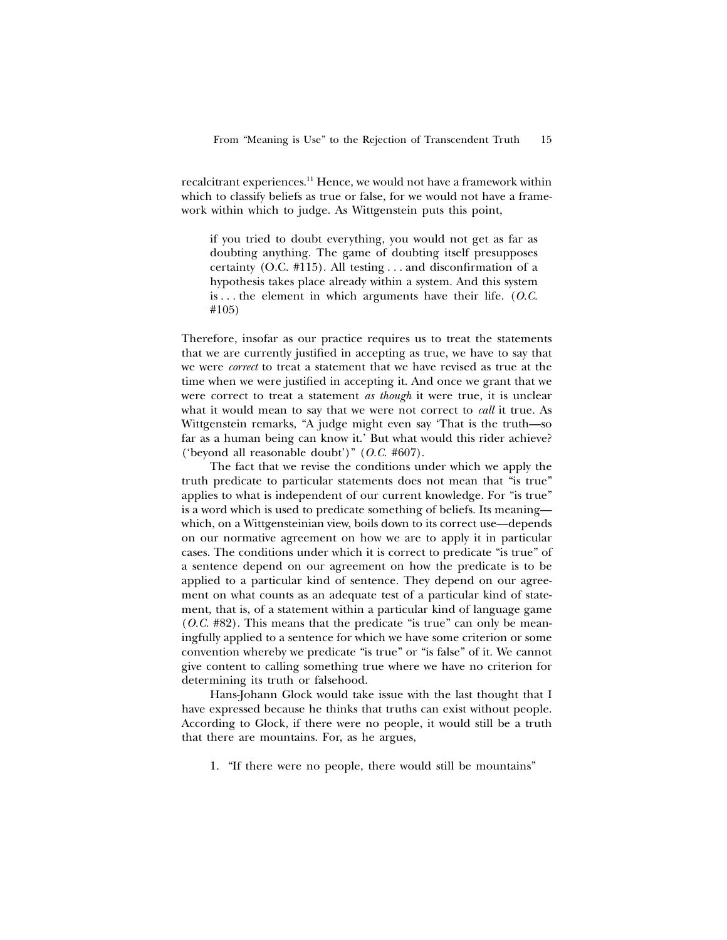recalcitrant experiences.11 Hence, we would not have a framework within which to classify beliefs as true or false, for we would not have a framework within which to judge. As Wittgenstein puts this point,

if you tried to doubt everything, you would not get as far as doubting anything. The game of doubting itself presupposes certainty (O.C. #115). All testing . . . and disconfirmation of a hypothesis takes place already within a system. And this system is . . . the element in which arguments have their life. (*O.C.* #105)

Therefore, insofar as our practice requires us to treat the statements that we are currently justified in accepting as true, we have to say that we were *correct* to treat a statement that we have revised as true at the time when we were justified in accepting it. And once we grant that we were correct to treat a statement *as though* it were true, it is unclear what it would mean to say that we were not correct to *call* it true. As Wittgenstein remarks, "A judge might even say 'That is the truth—so far as a human being can know it.' But what would this rider achieve? ('beyond all reasonable doubt')" (*O.C*. #607).

The fact that we revise the conditions under which we apply the truth predicate to particular statements does not mean that "is true" applies to what is independent of our current knowledge. For "is true" is a word which is used to predicate something of beliefs. Its meaning which, on a Wittgensteinian view, boils down to its correct use—depends on our normative agreement on how we are to apply it in particular cases. The conditions under which it is correct to predicate "is true" of a sentence depend on our agreement on how the predicate is to be applied to a particular kind of sentence. They depend on our agreement on what counts as an adequate test of a particular kind of statement, that is, of a statement within a particular kind of language game (*O.C.* #82). This means that the predicate "is true" can only be meaningfully applied to a sentence for which we have some criterion or some convention whereby we predicate "is true" or "is false" of it. We cannot give content to calling something true where we have no criterion for determining its truth or falsehood.

Hans-Johann Glock would take issue with the last thought that I have expressed because he thinks that truths can exist without people. According to Glock, if there were no people, it would still be a truth that there are mountains. For, as he argues,

1. "If there were no people, there would still be mountains"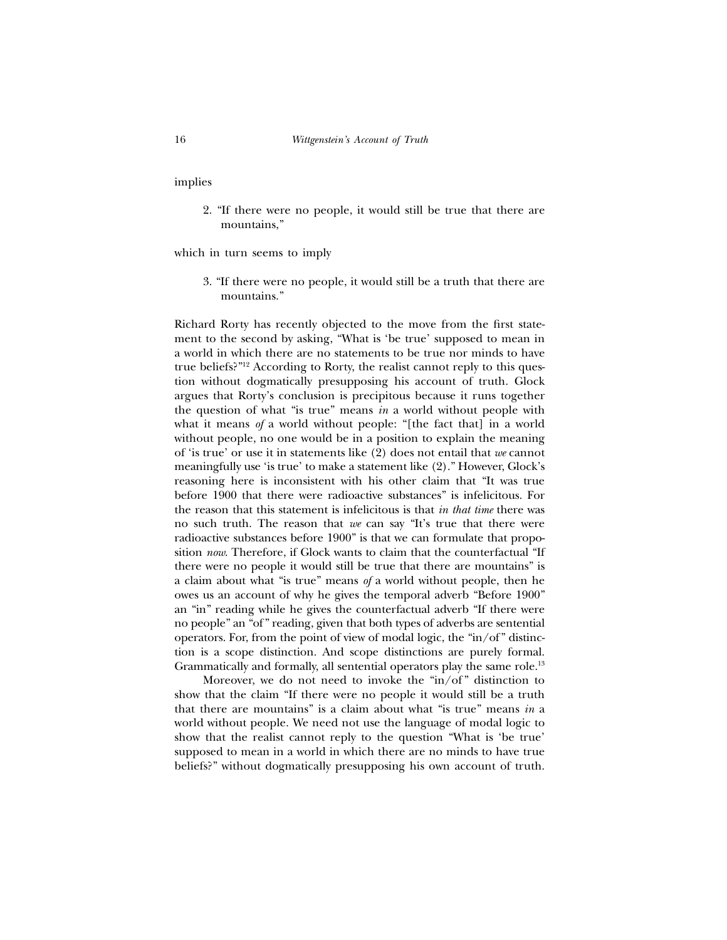implies

2. "If there were no people, it would still be true that there are mountains,"

which in turn seems to imply

3. "If there were no people, it would still be a truth that there are mountains."

Richard Rorty has recently objected to the move from the first statement to the second by asking, "What is 'be true' supposed to mean in a world in which there are no statements to be true nor minds to have true beliefs?"12 According to Rorty, the realist cannot reply to this question without dogmatically presupposing his account of truth. Glock argues that Rorty's conclusion is precipitous because it runs together the question of what "is true" means *in* a world without people with what it means *of* a world without people: "[the fact that] in a world without people, no one would be in a position to explain the meaning of 'is true' or use it in statements like (2) does not entail that *we* cannot meaningfully use 'is true' to make a statement like (2)." However, Glock's reasoning here is inconsistent with his other claim that "It was true before 1900 that there were radioactive substances" is infelicitous. For the reason that this statement is infelicitous is that *in that time* there was no such truth. The reason that *we* can say "It's true that there were radioactive substances before 1900" is that we can formulate that proposition *now*. Therefore, if Glock wants to claim that the counterfactual "If there were no people it would still be true that there are mountains" is a claim about what "is true" means *of* a world without people, then he owes us an account of why he gives the temporal adverb "Before 1900" an "in" reading while he gives the counterfactual adverb "If there were no people" an "of" reading, given that both types of adverbs are sentential operators. For, from the point of view of modal logic, the "in/of" distinction is a scope distinction. And scope distinctions are purely formal. Grammatically and formally, all sentential operators play the same role.<sup>13</sup>

Moreover, we do not need to invoke the "in/of" distinction to show that the claim "If there were no people it would still be a truth that there are mountains" is a claim about what "is true" means *in* a world without people. We need not use the language of modal logic to show that the realist cannot reply to the question "What is 'be true' supposed to mean in a world in which there are no minds to have true beliefs?" without dogmatically presupposing his own account of truth.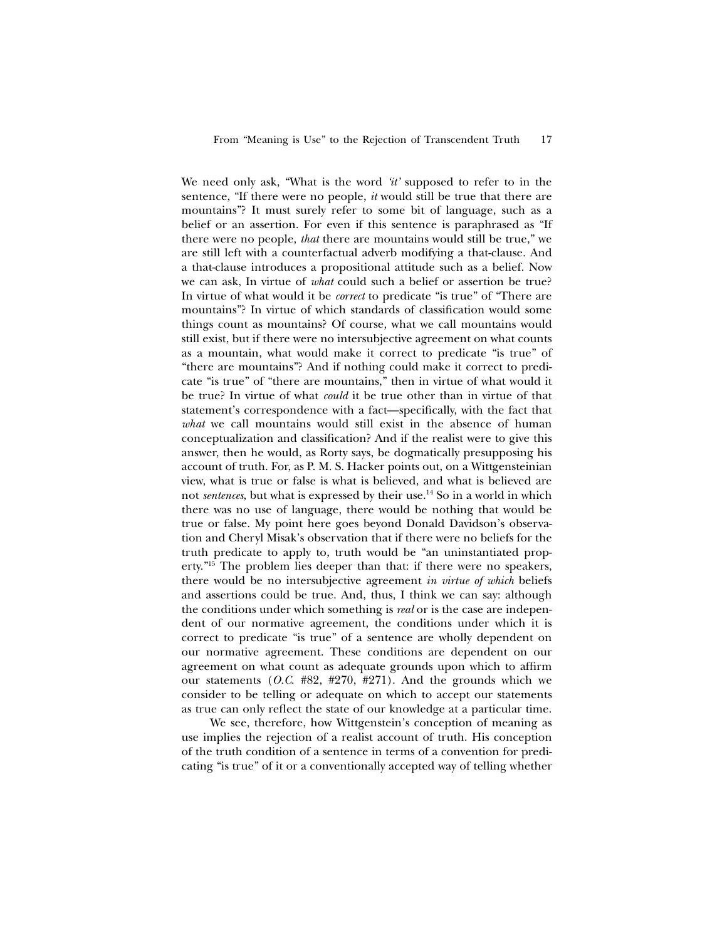We need only ask, "What is the word *'it'* supposed to refer to in the sentence, "If there were no people, *it* would still be true that there are mountains"? It must surely refer to some bit of language, such as a belief or an assertion. For even if this sentence is paraphrased as "If there were no people, *that* there are mountains would still be true," we are still left with a counterfactual adverb modifying a that-clause. And a that-clause introduces a propositional attitude such as a belief. Now we can ask, In virtue of *what* could such a belief or assertion be true? In virtue of what would it be *correct* to predicate "is true" of "There are mountains"? In virtue of which standards of classification would some things count as mountains? Of course, what we call mountains would still exist, but if there were no intersubjective agreement on what counts as a mountain, what would make it correct to predicate "is true" of "there are mountains"? And if nothing could make it correct to predicate "is true" of "there are mountains," then in virtue of what would it be true? In virtue of what *could* it be true other than in virtue of that statement's correspondence with a fact—specifically, with the fact that *what* we call mountains would still exist in the absence of human conceptualization and classification? And if the realist were to give this answer, then he would, as Rorty says, be dogmatically presupposing his account of truth. For, as P. M. S. Hacker points out, on a Wittgensteinian view, what is true or false is what is believed, and what is believed are not *sentences*, but what is expressed by their use.14 So in a world in which there was no use of language, there would be nothing that would be true or false. My point here goes beyond Donald Davidson's observation and Cheryl Misak's observation that if there were no beliefs for the truth predicate to apply to, truth would be "an uninstantiated property."<sup>15</sup> The problem lies deeper than that: if there were no speakers, there would be no intersubjective agreement *in virtue of which* beliefs and assertions could be true. And, thus, I think we can say: although the conditions under which something is *real* or is the case are independent of our normative agreement, the conditions under which it is correct to predicate "is true" of a sentence are wholly dependent on our normative agreement. These conditions are dependent on our agreement on what count as adequate grounds upon which to affirm our statements (*O.C*. #82, #270, #271). And the grounds which we consider to be telling or adequate on which to accept our statements as true can only reflect the state of our knowledge at a particular time.

We see, therefore, how Wittgenstein's conception of meaning as use implies the rejection of a realist account of truth. His conception of the truth condition of a sentence in terms of a convention for predicating "is true" of it or a conventionally accepted way of telling whether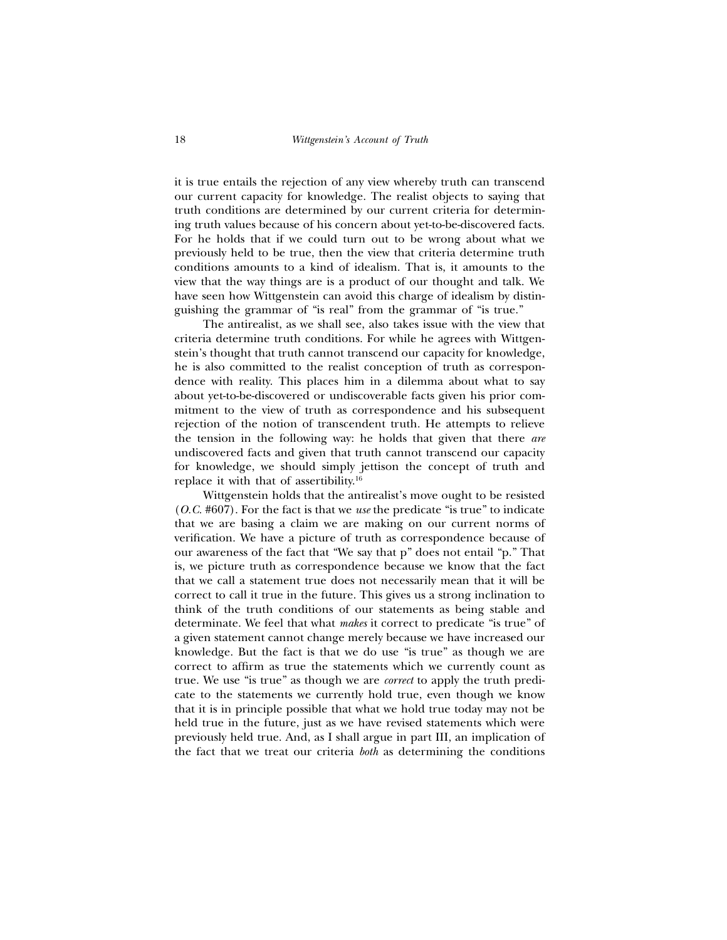it is true entails the rejection of any view whereby truth can transcend our current capacity for knowledge. The realist objects to saying that truth conditions are determined by our current criteria for determining truth values because of his concern about yet-to-be-discovered facts. For he holds that if we could turn out to be wrong about what we previously held to be true, then the view that criteria determine truth conditions amounts to a kind of idealism. That is, it amounts to the view that the way things are is a product of our thought and talk. We have seen how Wittgenstein can avoid this charge of idealism by distinguishing the grammar of "is real" from the grammar of "is true."

The antirealist, as we shall see, also takes issue with the view that criteria determine truth conditions. For while he agrees with Wittgenstein's thought that truth cannot transcend our capacity for knowledge, he is also committed to the realist conception of truth as correspondence with reality. This places him in a dilemma about what to say about yet-to-be-discovered or undiscoverable facts given his prior commitment to the view of truth as correspondence and his subsequent rejection of the notion of transcendent truth. He attempts to relieve the tension in the following way: he holds that given that there *are* undiscovered facts and given that truth cannot transcend our capacity for knowledge, we should simply jettison the concept of truth and replace it with that of assertibility.<sup>16</sup>

Wittgenstein holds that the antirealist's move ought to be resisted (*O.C.* #607). For the fact is that we *use* the predicate "is true" to indicate that we are basing a claim we are making on our current norms of verification. We have a picture of truth as correspondence because of our awareness of the fact that "We say that p" does not entail "p." That is, we picture truth as correspondence because we know that the fact that we call a statement true does not necessarily mean that it will be correct to call it true in the future. This gives us a strong inclination to think of the truth conditions of our statements as being stable and determinate. We feel that what *makes* it correct to predicate "is true" of a given statement cannot change merely because we have increased our knowledge. But the fact is that we do use "is true" as though we are correct to affirm as true the statements which we currently count as true. We use "is true" as though we are *correct* to apply the truth predicate to the statements we currently hold true, even though we know that it is in principle possible that what we hold true today may not be held true in the future, just as we have revised statements which were previously held true. And, as I shall argue in part III, an implication of the fact that we treat our criteria *both* as determining the conditions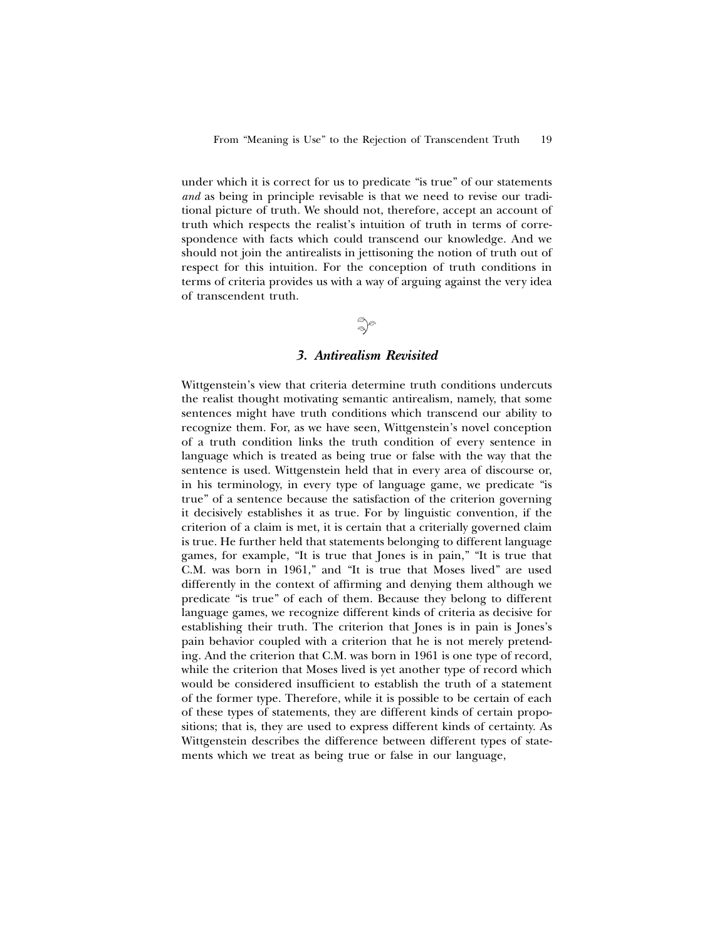under which it is correct for us to predicate "is true" of our statements *and* as being in principle revisable is that we need to revise our traditional picture of truth. We should not, therefore, accept an account of truth which respects the realist's intuition of truth in terms of correspondence with facts which could transcend our knowledge. And we should not join the antirealists in jettisoning the notion of truth out of respect for this intuition. For the conception of truth conditions in terms of criteria provides us with a way of arguing against the very idea of transcendent truth.

 $\Rightarrow$ 

#### *3. Antirealism Revisited*

Wittgenstein's view that criteria determine truth conditions undercuts the realist thought motivating semantic antirealism, namely, that some sentences might have truth conditions which transcend our ability to recognize them. For, as we have seen, Wittgenstein's novel conception of a truth condition links the truth condition of every sentence in language which is treated as being true or false with the way that the sentence is used. Wittgenstein held that in every area of discourse or, in his terminology, in every type of language game, we predicate "is true" of a sentence because the satisfaction of the criterion governing it decisively establishes it as true. For by linguistic convention, if the criterion of a claim is met, it is certain that a criterially governed claim is true. He further held that statements belonging to different language games, for example, "It is true that Jones is in pain," "It is true that C.M. was born in 1961," and "It is true that Moses lived" are used differently in the context of affirming and denying them although we predicate "is true" of each of them. Because they belong to different language games, we recognize different kinds of criteria as decisive for establishing their truth. The criterion that Jones is in pain is Jones's pain behavior coupled with a criterion that he is not merely pretending. And the criterion that C.M. was born in 1961 is one type of record, while the criterion that Moses lived is yet another type of record which would be considered insufficient to establish the truth of a statement of the former type. Therefore, while it is possible to be certain of each of these types of statements, they are different kinds of certain propositions; that is, they are used to express different kinds of certainty. As Wittgenstein describes the difference between different types of statements which we treat as being true or false in our language,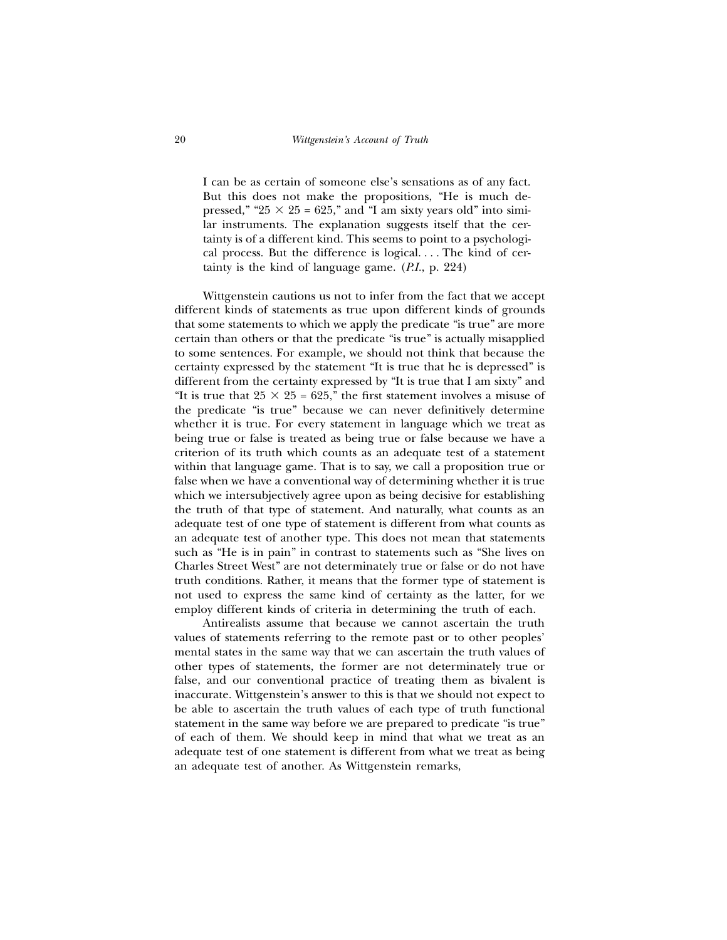I can be as certain of someone else's sensations as of any fact. But this does not make the propositions, "He is much depressed," " $25 \times 25 = 625$ ," and "I am sixty years old" into similar instruments. The explanation suggests itself that the certainty is of a different kind. This seems to point to a psychological process. But the difference is logical. . . . The kind of certainty is the kind of language game. (*P.I.*, p. 224)

Wittgenstein cautions us not to infer from the fact that we accept different kinds of statements as true upon different kinds of grounds that some statements to which we apply the predicate "is true" are more certain than others or that the predicate "is true" is actually misapplied to some sentences. For example, we should not think that because the certainty expressed by the statement "It is true that he is depressed" is different from the certainty expressed by "It is true that I am sixty" and "It is true that  $25 \times 25 = 625$ ," the first statement involves a misuse of the predicate "is true" because we can never definitively determine whether it is true. For every statement in language which we treat as being true or false is treated as being true or false because we have a criterion of its truth which counts as an adequate test of a statement within that language game. That is to say, we call a proposition true or false when we have a conventional way of determining whether it is true which we intersubjectively agree upon as being decisive for establishing the truth of that type of statement. And naturally, what counts as an adequate test of one type of statement is different from what counts as an adequate test of another type. This does not mean that statements such as "He is in pain" in contrast to statements such as "She lives on Charles Street West" are not determinately true or false or do not have truth conditions. Rather, it means that the former type of statement is not used to express the same kind of certainty as the latter, for we employ different kinds of criteria in determining the truth of each.

Antirealists assume that because we cannot ascertain the truth values of statements referring to the remote past or to other peoples' mental states in the same way that we can ascertain the truth values of other types of statements, the former are not determinately true or false, and our conventional practice of treating them as bivalent is inaccurate. Wittgenstein's answer to this is that we should not expect to be able to ascertain the truth values of each type of truth functional statement in the same way before we are prepared to predicate "is true" of each of them. We should keep in mind that what we treat as an adequate test of one statement is different from what we treat as being an adequate test of another. As Wittgenstein remarks,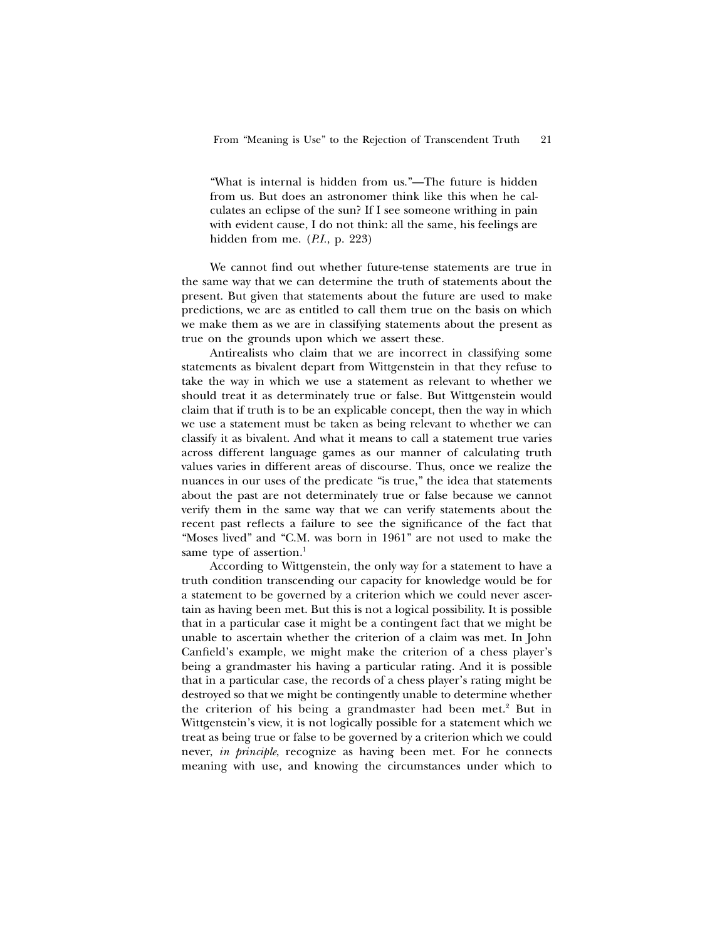"What is internal is hidden from us."—The future is hidden from us. But does an astronomer think like this when he calculates an eclipse of the sun? If I see someone writhing in pain with evident cause, I do not think: all the same, his feelings are hidden from me. (*P.I.*, p. 223)

We cannot find out whether future-tense statements are true in the same way that we can determine the truth of statements about the present. But given that statements about the future are used to make predictions, we are as entitled to call them true on the basis on which we make them as we are in classifying statements about the present as true on the grounds upon which we assert these.

Antirealists who claim that we are incorrect in classifying some statements as bivalent depart from Wittgenstein in that they refuse to take the way in which we use a statement as relevant to whether we should treat it as determinately true or false. But Wittgenstein would claim that if truth is to be an explicable concept, then the way in which we use a statement must be taken as being relevant to whether we can classify it as bivalent. And what it means to call a statement true varies across different language games as our manner of calculating truth values varies in different areas of discourse. Thus, once we realize the nuances in our uses of the predicate "is true," the idea that statements about the past are not determinately true or false because we cannot verify them in the same way that we can verify statements about the recent past reflects a failure to see the significance of the fact that "Moses lived" and "C.M. was born in 1961" are not used to make the same type of assertion.<sup>1</sup>

According to Wittgenstein, the only way for a statement to have a truth condition transcending our capacity for knowledge would be for a statement to be governed by a criterion which we could never ascertain as having been met. But this is not a logical possibility. It is possible that in a particular case it might be a contingent fact that we might be unable to ascertain whether the criterion of a claim was met. In John Canfield's example, we might make the criterion of a chess player's being a grandmaster his having a particular rating. And it is possible that in a particular case, the records of a chess player's rating might be destroyed so that we might be contingently unable to determine whether the criterion of his being a grandmaster had been met.<sup>2</sup> But in Wittgenstein's view, it is not logically possible for a statement which we treat as being true or false to be governed by a criterion which we could never, *in principle*, recognize as having been met. For he connects meaning with use, and knowing the circumstances under which to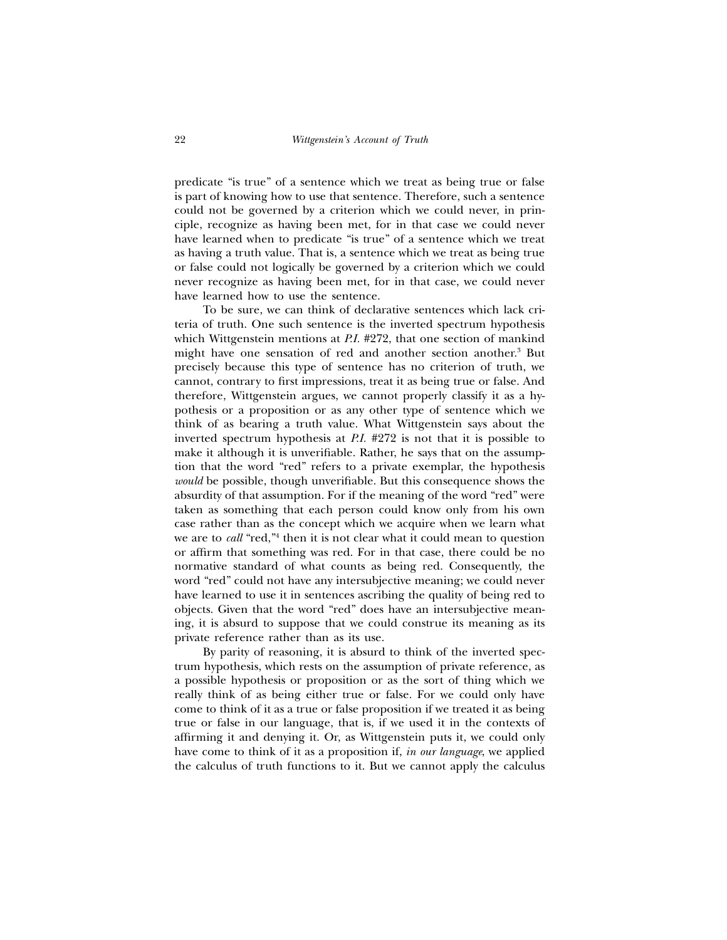predicate "is true" of a sentence which we treat as being true or false is part of knowing how to use that sentence. Therefore, such a sentence could not be governed by a criterion which we could never, in principle, recognize as having been met, for in that case we could never have learned when to predicate "is true" of a sentence which we treat as having a truth value. That is, a sentence which we treat as being true or false could not logically be governed by a criterion which we could never recognize as having been met, for in that case, we could never have learned how to use the sentence.

To be sure, we can think of declarative sentences which lack criteria of truth. One such sentence is the inverted spectrum hypothesis which Wittgenstein mentions at *P.I.* #272, that one section of mankind might have one sensation of red and another section another.3 But precisely because this type of sentence has no criterion of truth, we cannot, contrary to first impressions, treat it as being true or false. And therefore, Wittgenstein argues, we cannot properly classify it as a hypothesis or a proposition or as any other type of sentence which we think of as bearing a truth value. What Wittgenstein says about the inverted spectrum hypothesis at *P.I.* #272 is not that it is possible to make it although it is unverifiable. Rather, he says that on the assumption that the word "red" refers to a private exemplar, the hypothesis *would* be possible, though unverifiable. But this consequence shows the absurdity of that assumption. For if the meaning of the word "red" were taken as something that each person could know only from his own case rather than as the concept which we acquire when we learn what we are to *call* "red,"<sup>4</sup> then it is not clear what it could mean to question or affirm that something was red. For in that case, there could be no normative standard of what counts as being red. Consequently, the word "red" could not have any intersubjective meaning; we could never have learned to use it in sentences ascribing the quality of being red to objects. Given that the word "red" does have an intersubjective meaning, it is absurd to suppose that we could construe its meaning as its private reference rather than as its use.

By parity of reasoning, it is absurd to think of the inverted spectrum hypothesis, which rests on the assumption of private reference, as a possible hypothesis or proposition or as the sort of thing which we really think of as being either true or false. For we could only have come to think of it as a true or false proposition if we treated it as being true or false in our language, that is, if we used it in the contexts of affirming it and denying it. Or, as Wittgenstein puts it, we could only have come to think of it as a proposition if, *in our language*, we applied the calculus of truth functions to it. But we cannot apply the calculus